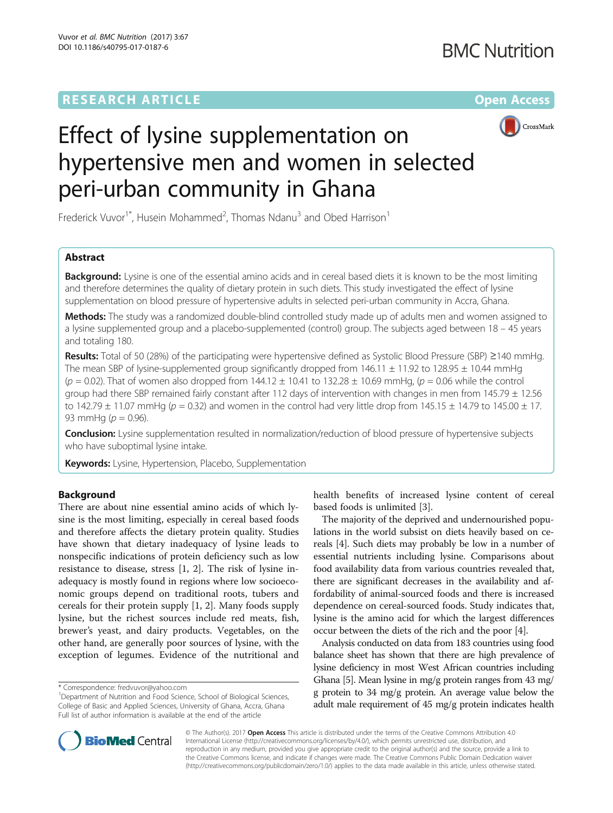## **RESEARCH ARTICLE External Structure Community Community Community Community Community Community Community Community**



# Effect of lysine supplementation on hypertensive men and women in selected peri-urban community in Ghana

Frederick Vuvor<sup>1\*</sup>, Husein Mohammed<sup>2</sup>, Thomas Ndanu<sup>3</sup> and Obed Harrison<sup>1</sup>

## Abstract

Background: Lysine is one of the essential amino acids and in cereal based diets it is known to be the most limiting and therefore determines the quality of dietary protein in such diets. This study investigated the effect of lysine supplementation on blood pressure of hypertensive adults in selected peri-urban community in Accra, Ghana.

Methods: The study was a randomized double-blind controlled study made up of adults men and women assigned to a lysine supplemented group and a placebo-supplemented (control) group. The subjects aged between 18 – 45 years and totaling 180.

Results: Total of 50 (28%) of the participating were hypertensive defined as Systolic Blood Pressure (SBP) ≥140 mmHg. The mean SBP of lysine-supplemented group significantly dropped from  $146.11 \pm 11.92$  to  $128.95 \pm 10.44$  mmHg  $(p = 0.02)$ . That of women also dropped from  $144.12 \pm 10.41$  to  $132.28 \pm 10.69$  mmHg,  $(p = 0.06$  while the control group had there SBP remained fairly constant after 112 days of intervention with changes in men from  $145.79 \pm 12.56$ to 142.79  $\pm$  11.07 mmHg ( $p = 0.32$ ) and women in the control had very little drop from 145.15  $\pm$  14.79 to 145.00  $\pm$  17. 93 mmHg ( $p = 0.96$ ).

**Conclusion:** Lysine supplementation resulted in normalization/reduction of blood pressure of hypertensive subjects who have suboptimal lysine intake.

Keywords: Lysine, Hypertension, Placebo, Supplementation

## Background

There are about nine essential amino acids of which lysine is the most limiting, especially in cereal based foods and therefore affects the dietary protein quality. Studies have shown that dietary inadequacy of lysine leads to nonspecific indications of protein deficiency such as low resistance to disease, stress [[1, 2](#page-6-0)]. The risk of lysine inadequacy is mostly found in regions where low socioeconomic groups depend on traditional roots, tubers and cereals for their protein supply [\[1](#page-6-0), [2](#page-6-0)]. Many foods supply lysine, but the richest sources include red meats, fish, brewer's yeast, and dairy products. Vegetables, on the other hand, are generally poor sources of lysine, with the exception of legumes. Evidence of the nutritional and health benefits of increased lysine content of cereal based foods is unlimited [\[3](#page-6-0)].

The majority of the deprived and undernourished populations in the world subsist on diets heavily based on cereals [[4](#page-6-0)]. Such diets may probably be low in a number of essential nutrients including lysine. Comparisons about food availability data from various countries revealed that, there are significant decreases in the availability and affordability of animal-sourced foods and there is increased dependence on cereal-sourced foods. Study indicates that, lysine is the amino acid for which the largest differences occur between the diets of the rich and the poor [\[4](#page-6-0)].

Analysis conducted on data from 183 countries using food balance sheet has shown that there are high prevalence of lysine deficiency in most West African countries including Ghana [\[5\]](#page-6-0). Mean lysine in mg/g protein ranges from 43 mg/ g protein to 34 mg/g protein. An average value below the adult male requirement of 45 mg/g protein indicates health



© The Author(s). 2017 **Open Access** This article is distributed under the terms of the Creative Commons Attribution 4.0 International License [\(http://creativecommons.org/licenses/by/4.0/](http://creativecommons.org/licenses/by/4.0/)), which permits unrestricted use, distribution, and reproduction in any medium, provided you give appropriate credit to the original author(s) and the source, provide a link to the Creative Commons license, and indicate if changes were made. The Creative Commons Public Domain Dedication waiver [\(http://creativecommons.org/publicdomain/zero/1.0/](http://creativecommons.org/publicdomain/zero/1.0/)) applies to the data made available in this article, unless otherwise stated.

<sup>\*</sup> Correspondence: [fredvuvor@yahoo.com](mailto:fredvuvor@yahoo.com) <sup>1</sup>

<sup>&</sup>lt;sup>1</sup>Department of Nutrition and Food Science, School of Biological Sciences, College of Basic and Applied Sciences, University of Ghana, Accra, Ghana Full list of author information is available at the end of the article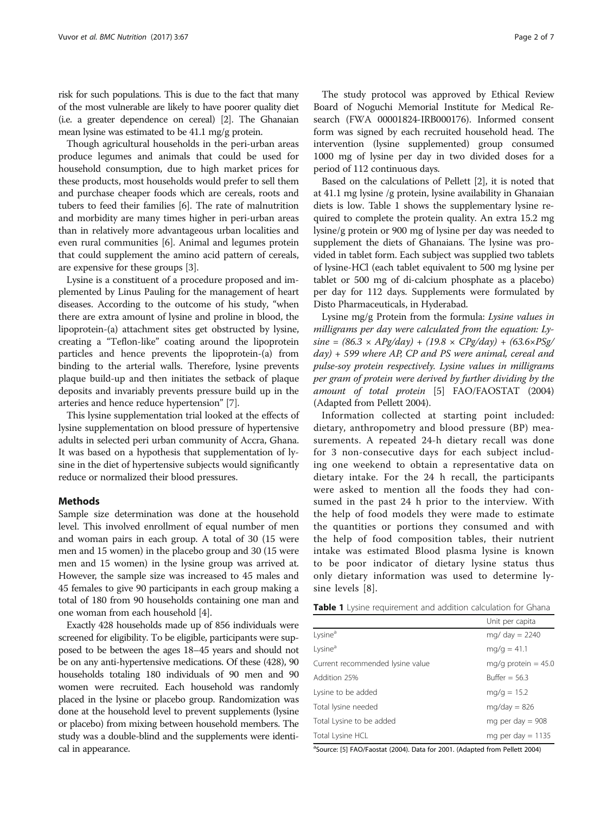risk for such populations. This is due to the fact that many of the most vulnerable are likely to have poorer quality diet (i.e. a greater dependence on cereal) [\[2\]](#page-6-0). The Ghanaian mean lysine was estimated to be 41.1 mg/g protein.

Though agricultural households in the peri-urban areas produce legumes and animals that could be used for household consumption, due to high market prices for these products, most households would prefer to sell them and purchase cheaper foods which are cereals, roots and tubers to feed their families [[6](#page-6-0)]. The rate of malnutrition and morbidity are many times higher in peri-urban areas than in relatively more advantageous urban localities and even rural communities [\[6](#page-6-0)]. Animal and legumes protein that could supplement the amino acid pattern of cereals, are expensive for these groups [\[3](#page-6-0)].

Lysine is a constituent of a procedure proposed and implemented by Linus Pauling for the management of heart diseases. According to the outcome of his study, "when there are extra amount of lysine and proline in blood, the lipoprotein-(a) attachment sites get obstructed by lysine, creating a "Teflon-like" coating around the lipoprotein particles and hence prevents the lipoprotein-(a) from binding to the arterial walls. Therefore, lysine prevents plaque build-up and then initiates the setback of plaque deposits and invariably prevents pressure build up in the arteries and hence reduce hypertension" [[7\]](#page-6-0).

This lysine supplementation trial looked at the effects of lysine supplementation on blood pressure of hypertensive adults in selected peri urban community of Accra, Ghana. It was based on a hypothesis that supplementation of lysine in the diet of hypertensive subjects would significantly reduce or normalized their blood pressures.

## Methods

Sample size determination was done at the household level. This involved enrollment of equal number of men and woman pairs in each group. A total of 30 (15 were men and 15 women) in the placebo group and 30 (15 were men and 15 women) in the lysine group was arrived at. However, the sample size was increased to 45 males and 45 females to give 90 participants in each group making a total of 180 from 90 households containing one man and one woman from each household [\[4](#page-6-0)].

Exactly 428 households made up of 856 individuals were screened for eligibility. To be eligible, participants were supposed to be between the ages 18–45 years and should not be on any anti-hypertensive medications. Of these (428), 90 households totaling 180 individuals of 90 men and 90 women were recruited. Each household was randomly placed in the lysine or placebo group. Randomization was done at the household level to prevent supplements (lysine or placebo) from mixing between household members. The study was a double-blind and the supplements were identical in appearance.

The study protocol was approved by Ethical Review Board of Noguchi Memorial Institute for Medical Research (FWA 00001824-IRB000176). Informed consent form was signed by each recruited household head. The intervention (lysine supplemented) group consumed 1000 mg of lysine per day in two divided doses for a period of 112 continuous days.

Based on the calculations of Pellett [[2\]](#page-6-0), it is noted that at 41.1 mg lysine /g protein, lysine availability in Ghanaian diets is low. Table 1 shows the supplementary lysine required to complete the protein quality. An extra 15.2 mg lysine/g protein or 900 mg of lysine per day was needed to supplement the diets of Ghanaians. The lysine was provided in tablet form. Each subject was supplied two tablets of lysine-HCl (each tablet equivalent to 500 mg lysine per tablet or 500 mg of di-calcium phosphate as a placebo) per day for 112 days. Supplements were formulated by Disto Pharmaceuticals, in Hyderabad.

Lysine mg/g Protein from the formula: Lysine values in milligrams per day were calculated from the equation: Ly $sine = (86.3 \times APg/day) + (19.8 \times CPg/day) + (63.6 \times PSg/$  $day$ ) + 599 where AP, CP and PS were animal, cereal and pulse-soy protein respectively. Lysine values in milligrams per gram of protein were derived by further dividing by the amount of total protein [\[5](#page-6-0)] FAO/FAOSTAT (2004) (Adapted from Pellett 2004).

Information collected at starting point included: dietary, anthropometry and blood pressure (BP) measurements. A repeated 24-h dietary recall was done for 3 non-consecutive days for each subject including one weekend to obtain a representative data on dietary intake. For the 24 h recall, the participants were asked to mention all the foods they had consumed in the past 24 h prior to the interview. With the help of food models they were made to estimate the quantities or portions they consumed and with the help of food composition tables, their nutrient intake was estimated Blood plasma lysine is known to be poor indicator of dietary lysine status thus only dietary information was used to determine lysine levels [\[8](#page-6-0)].

|  |  | <b>Table 1</b> Lysine requirement and addition calculation for Ghana |  |  |  |  |  |
|--|--|----------------------------------------------------------------------|--|--|--|--|--|
|--|--|----------------------------------------------------------------------|--|--|--|--|--|

|                                  | Unit per capita       |
|----------------------------------|-----------------------|
| Lysine <sup>a</sup>              | mg/ day $= 2240$      |
| Lysine <sup>a</sup>              | $mq/q = 41.1$         |
| Current recommended lysine value | mg/g protein $= 45.0$ |
| Addition 25%                     | Buffer $= 56.3$       |
| Lysine to be added               | $mq/q = 15.2$         |
| Total lysine needed              | $mq/day = 826$        |
| Total Lysine to be added         | mg per day $= 908$    |
| Total Lysine HCL                 | mg per day $= 1135$   |

<sup>a</sup>Source: [[5](#page-6-0)] FAO/Faostat (2004). Data for 2001. (Adapted from Pellett 2004)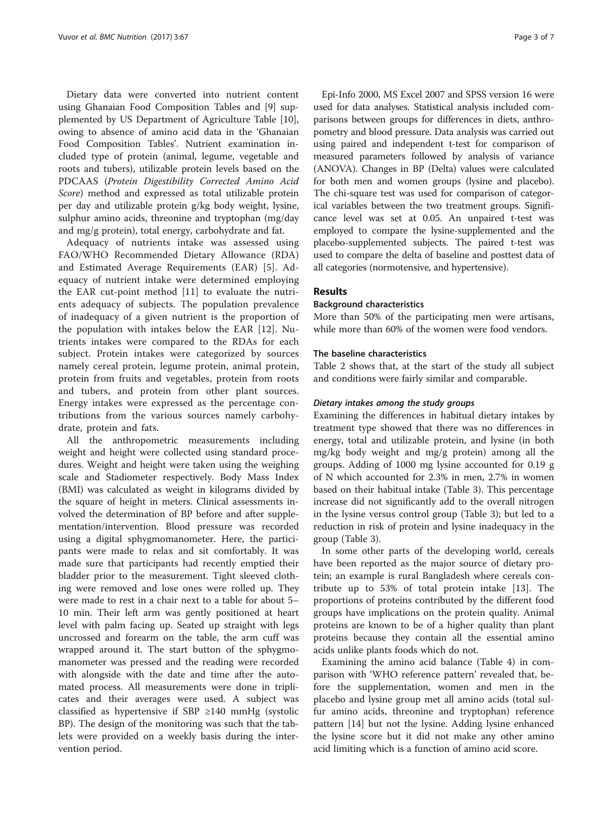Dietary data were converted into nutrient content using Ghanaian Food Composition Tables and [\[9](#page-6-0)] supplemented by US Department of Agriculture Table [\[10](#page-6-0)], owing to absence of amino acid data in the 'Ghanaian Food Composition Tables'. Nutrient examination included type of protein (animal, legume, vegetable and roots and tubers), utilizable protein levels based on the PDCAAS (Protein Digestibility Corrected Amino Acid Score) method and expressed as total utilizable protein per day and utilizable protein g/kg body weight, lysine, sulphur amino acids, threonine and tryptophan (mg/day and mg/g protein), total energy, carbohydrate and fat.

Adequacy of nutrients intake was assessed using FAO/WHO Recommended Dietary Allowance (RDA) and Estimated Average Requirements (EAR) [[5\]](#page-6-0). Adequacy of nutrient intake were determined employing the EAR cut-point method [[11](#page-6-0)] to evaluate the nutrients adequacy of subjects. The population prevalence of inadequacy of a given nutrient is the proportion of the population with intakes below the EAR [[12\]](#page-6-0). Nutrients intakes were compared to the RDAs for each subject. Protein intakes were categorized by sources namely cereal protein, legume protein, animal protein, protein from fruits and vegetables, protein from roots and tubers, and protein from other plant sources. Energy intakes were expressed as the percentage contributions from the various sources namely carbohydrate, protein and fats.

All the anthropometric measurements including weight and height were collected using standard procedures. Weight and height were taken using the weighing scale and Stadiometer respectively. Body Mass Index (BMI) was calculated as weight in kilograms divided by the square of height in meters. Clinical assessments involved the determination of BP before and after supplementation/intervention. Blood pressure was recorded using a digital sphygmomanometer. Here, the participants were made to relax and sit comfortably. It was made sure that participants had recently emptied their bladder prior to the measurement. Tight sleeved clothing were removed and lose ones were rolled up. They were made to rest in a chair next to a table for about 5– 10 min. Their left arm was gently positioned at heart level with palm facing up. Seated up straight with legs uncrossed and forearm on the table, the arm cuff was wrapped around it. The start button of the sphygmomanometer was pressed and the reading were recorded with alongside with the date and time after the automated process. All measurements were done in triplicates and their averages were used. A subject was classified as hypertensive if SBP  $\geq$ 140 mmHg (systolic BP). The design of the monitoring was such that the tablets were provided on a weekly basis during the intervention period.

Epi-Info 2000, MS Excel 2007 and SPSS version 16 were used for data analyses. Statistical analysis included comparisons between groups for differences in diets, anthropometry and blood pressure. Data analysis was carried out using paired and independent t-test for comparison of measured parameters followed by analysis of variance (ANOVA). Changes in BP (Delta) values were calculated for both men and women groups (lysine and placebo). The chi-square test was used for comparison of categorical variables between the two treatment groups. Significance level was set at 0.05. An unpaired t-test was employed to compare the lysine-supplemented and the placebo-supplemented subjects. The paired t-test was used to compare the delta of baseline and posttest data of all categories (normotensive, and hypertensive).

## Results

#### Background characteristics

More than 50% of the participating men were artisans, while more than 60% of the women were food vendors.

### The baseline characteristics

Table [2](#page-3-0) shows that, at the start of the study all subject and conditions were fairly similar and comparable.

#### Dietary intakes among the study groups

Examining the differences in habitual dietary intakes by treatment type showed that there was no differences in energy, total and utilizable protein, and lysine (in both mg/kg body weight and mg/g protein) among all the groups. Adding of 1000 mg lysine accounted for 0.19 g of N which accounted for 2.3% in men, 2.7% in women based on their habitual intake (Table [3\)](#page-3-0). This percentage increase did not significantly add to the overall nitrogen in the lysine versus control group (Table [3](#page-3-0)); but led to a reduction in risk of protein and lysine inadequacy in the group (Table [3\)](#page-3-0).

In some other parts of the developing world, cereals have been reported as the major source of dietary protein; an example is rural Bangladesh where cereals contribute up to 53% of total protein intake [\[13\]](#page-6-0). The proportions of proteins contributed by the different food groups have implications on the protein quality. Animal proteins are known to be of a higher quality than plant proteins because they contain all the essential amino acids unlike plants foods which do not.

Examining the amino acid balance (Table [4\)](#page-4-0) in comparison with 'WHO reference pattern' revealed that, before the supplementation, women and men in the placebo and lysine group met all amino acids (total sulfur amino acids, threonine and tryptophan) reference pattern [\[14\]](#page-6-0) but not the lysine. Adding lysine enhanced the lysine score but it did not make any other amino acid limiting which is a function of amino acid score.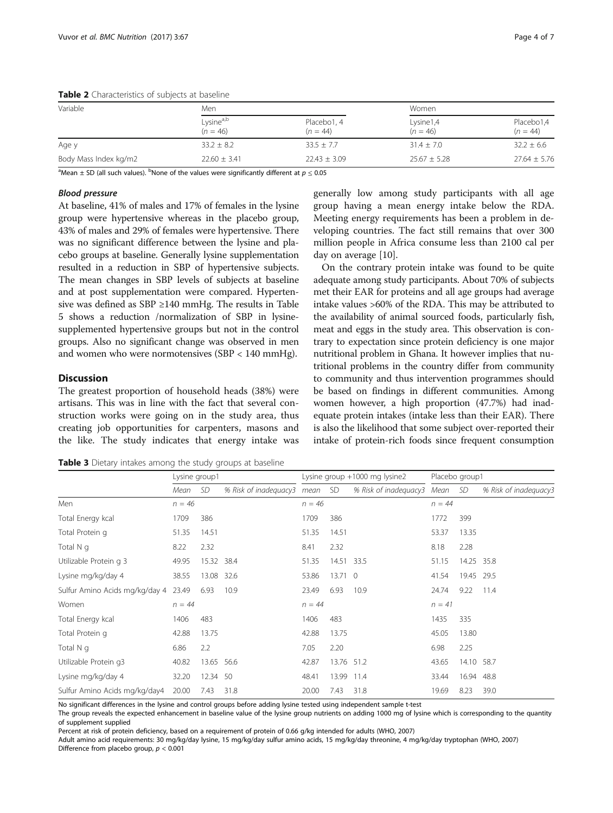| Variable              | Men                                 |                           | Women                   |                          |  |
|-----------------------|-------------------------------------|---------------------------|-------------------------|--------------------------|--|
|                       | Lysine <sup>a,b</sup><br>$(n = 46)$ | Placebo1, 4<br>$(n = 44)$ | Lysine1,4<br>$(n = 46)$ | Placebo1,4<br>$(n = 44)$ |  |
| Age y                 | $33.2 \pm 8.2$                      | $33.5 \pm 7.7$            | $31.4 \pm 7.0$          | $32.2 \pm 6.6$           |  |
| Body Mass Index kg/m2 | $22.60 \pm 3.41$                    | $22.43 \pm 3.09$          | $25.67 \pm 5.28$        | $27.64 \pm 5.76$         |  |

<span id="page-3-0"></span>Table 2 Characteristics of subjects at baseline

<sup>a</sup>Mean  $\pm$  SD (all such values). <sup>b</sup>None of the values were significantly different at  $p \leq 0.05$ 

#### Blood pressure

At baseline, 41% of males and 17% of females in the lysine group were hypertensive whereas in the placebo group, 43% of males and 29% of females were hypertensive. There was no significant difference between the lysine and placebo groups at baseline. Generally lysine supplementation resulted in a reduction in SBP of hypertensive subjects. The mean changes in SBP levels of subjects at baseline and at post supplementation were compared. Hypertensive was defined as SBP ≥140 mmHg. The results in Table [5](#page-4-0) shows a reduction /normalization of SBP in lysinesupplemented hypertensive groups but not in the control groups. Also no significant change was observed in men and women who were normotensives  $(SBP < 140 \text{ mmHg}).$ 

#### **Discussion**

The greatest proportion of household heads (38%) were artisans. This was in line with the fact that several construction works were going on in the study area, thus creating job opportunities for carpenters, masons and the like. The study indicates that energy intake was

Table 3 Dietary intakes among the study groups at baseline

generally low among study participants with all age group having a mean energy intake below the RDA. Meeting energy requirements has been a problem in developing countries. The fact still remains that over 300 million people in Africa consume less than 2100 cal per day on average [[10](#page-6-0)].

On the contrary protein intake was found to be quite adequate among study participants. About 70% of subjects met their EAR for proteins and all age groups had average intake values >60% of the RDA. This may be attributed to the availability of animal sourced foods, particularly fish, meat and eggs in the study area. This observation is contrary to expectation since protein deficiency is one major nutritional problem in Ghana. It however implies that nutritional problems in the country differ from community to community and thus intervention programmes should be based on findings in different communities. Among women however, a high proportion (47.7%) had inadequate protein intakes (intake less than their EAR). There is also the likelihood that some subject over-reported their intake of protein-rich foods since frequent consumption

|                                | Lysine group1 |                  |                       | Lysine group +1000 mg lysine2 |            |                       | Placebo group1 |            |                       |
|--------------------------------|---------------|------------------|-----------------------|-------------------------------|------------|-----------------------|----------------|------------|-----------------------|
|                                | Mean          | SD               | % Risk of inadeguacy3 | mean                          | <b>SD</b>  | % Risk of inadeguacy3 | Mean           | SD         | % Risk of inadequacy3 |
| Men                            | $n = 46$      |                  |                       | $n = 46$                      |            |                       | $n = 44$       |            |                       |
| Total Energy kcal              | 1709          | 386              |                       | 1709                          | 386        |                       | 1772           | 399        |                       |
| Total Protein g                | 51.35         | 14.51            |                       | 51.35                         | 14.51      |                       | 53.37          | 13.35      |                       |
| Total N q                      | 8.22          | 2.32             |                       | 8.41                          | 2.32       |                       | 8.18           | 2.28       |                       |
| Utilizable Protein g 3         | 49.95         | 15.32            | 38.4                  | 51.35                         | 14.51      | 33.5                  | 51.15          | 14.25 35.8 |                       |
| Lysine mg/kg/day 4             | 38.55         | 13.08            | 32.6                  | 53.86                         | 13.71 0    |                       | 41.54          | 19.45 29.5 |                       |
| Sulfur Amino Acids mg/kg/day 4 | 23.49         | 6.93             | 10.9                  | 23.49                         | 6.93       | 10.9                  | 24.74          | 9.22       | 11.4                  |
| Women                          | $n = 44$      |                  |                       | $n = 44$                      |            |                       | $n = 41$       |            |                       |
| Total Energy kcal              | 1406          | 483              |                       | 1406                          | 483        |                       | 1435           | 335        |                       |
| Total Protein g                | 42.88         | 13.75            |                       | 42.88                         | 13.75      |                       | 45.05          | 13.80      |                       |
| Total N q                      | 6.86          | $2.2\phantom{0}$ |                       | 7.05                          | 2.20       |                       | 6.98           | 2.25       |                       |
| Utilizable Protein g3          | 40.82         | 13.65            | 56.6                  | 42.87                         | 13.76 51.2 |                       | 43.65          | 14.10 58.7 |                       |
| Lysine mg/kg/day 4             | 32.20         | 12.34 50         |                       | 48.41                         | 13.99      | 11.4                  | 33.44          | 16.94      | 48.8                  |
| Sulfur Amino Acids mg/kg/day4  | 20.00         | 7.43             | 31.8                  | 20.00                         | 7.43       | 31.8                  | 19.69          | 8.23       | 39.0                  |

No significant differences in the lysine and control groups before adding lysine tested using independent sample t-test

The group reveals the expected enhancement in baseline value of the lysine group nutrients on adding 1000 mg of lysine which is corresponding to the quantity of supplement supplied

Percent at risk of protein deficiency, based on a requirement of protein of 0.66 g/kg intended for adults (WHO, 2007)

Adult amino acid requirements: 30 mg/kg/day lysine, 15 mg/kg/day sulfur amino acids, 15 mg/kg/day threonine, 4 mg/kg/day tryptophan (WHO, 2007) Difference from placebo group, p < 0.001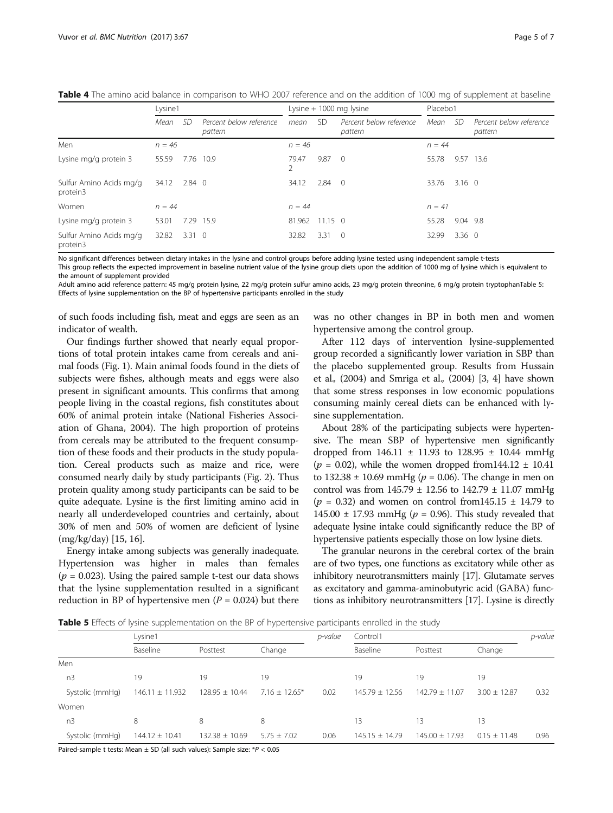<span id="page-4-0"></span>

| Table 4 The amino acid balance in comparison to WHO 2007 reference and on the addition of 1000 mg of supplement at baseline |  |
|-----------------------------------------------------------------------------------------------------------------------------|--|
|-----------------------------------------------------------------------------------------------------------------------------|--|

|                                     | Lysine1  |              |                                    |          | Lysine $+1000$ mg lysine | Placebo1                           |          |                |                                    |
|-------------------------------------|----------|--------------|------------------------------------|----------|--------------------------|------------------------------------|----------|----------------|------------------------------------|
|                                     | Mean     | SD           | Percent below reference<br>pattern | mean     | SD.                      | Percent below reference<br>pattern | Mean     | -SD            | Percent below reference<br>pattern |
| Men                                 | $n = 46$ |              |                                    | $n = 46$ |                          |                                    | $n = 44$ |                |                                    |
| Lysine mg/g protein 3               | 55.59    | 7.76 10.9    |                                    | 79.47    | 9.87 0                   |                                    | 55.78    | 9.57           | - 13.6                             |
| Sulfur Amino Acids mg/g<br>protein3 | 34.12    | $2.84\quad0$ |                                    | 34.12    | 2.84                     | $\overline{0}$                     | 33.76    | $3.16 \quad 0$ |                                    |
| Women                               | $n = 44$ |              |                                    | $n = 44$ |                          |                                    | $n = 41$ |                |                                    |
| Lysine mg/g protein 3               | 53.01    | 7.29 15.9    |                                    | 81.962   | $11.15 \quad 0$          |                                    | 55.28    | 9.04 9.8       |                                    |
| Sulfur Amino Acids mg/g<br>protein3 | 32.82    | $3.31 \ 0$   |                                    | 32.82    | $3.31 \ 0$               |                                    | 32.99    | $3.36 \quad 0$ |                                    |

No significant differences between dietary intakes in the lysine and control groups before adding lysine tested using independent sample t-tests

This group reflects the expected improvement in baseline nutrient value of the lysine group diets upon the addition of 1000 mg of lysine which is equivalent to the amount of supplement provided

Adult amino acid reference pattern: 45 mg/g protein lysine, 22 mg/g protein sulfur amino acids, 23 mg/g protein threonine, 6 mg/g protein tryptophanTable 5: Effects of lysine supplementation on the BP of hypertensive participants enrolled in the study

of such foods including fish, meat and eggs are seen as an indicator of wealth.

Our findings further showed that nearly equal proportions of total protein intakes came from cereals and animal foods (Fig. [1](#page-5-0)). Main animal foods found in the diets of subjects were fishes, although meats and eggs were also present in significant amounts. This confirms that among people living in the coastal regions, fish constitutes about 60% of animal protein intake (National Fisheries Association of Ghana, 2004). The high proportion of proteins from cereals may be attributed to the frequent consumption of these foods and their products in the study population. Cereal products such as maize and rice, were consumed nearly daily by study participants (Fig. [2\)](#page-5-0). Thus protein quality among study participants can be said to be quite adequate. Lysine is the first limiting amino acid in nearly all underdeveloped countries and certainly, about 30% of men and 50% of women are deficient of lysine (mg/kg/day) [\[15](#page-6-0), [16](#page-6-0)].

Energy intake among subjects was generally inadequate. Hypertension was higher in males than females  $(p = 0.023)$ . Using the paired sample t-test our data shows that the lysine supplementation resulted in a significant reduction in BP of hypertensive men ( $P = 0.024$ ) but there

was no other changes in BP in both men and women hypertensive among the control group.

After 112 days of intervention lysine-supplemented group recorded a significantly lower variation in SBP than the placebo supplemented group. Results from Hussain et al.,  $(2004)$  and Smriga et al.,  $(2004)$  [\[3](#page-6-0), [4\]](#page-6-0) have shown that some stress responses in low economic populations consuming mainly cereal diets can be enhanced with lysine supplementation.

About 28% of the participating subjects were hypertensive. The mean SBP of hypertensive men significantly dropped from  $146.11 \pm 11.93$  to  $128.95 \pm 10.44$  mmHg  $(p = 0.02)$ , while the women dropped from 144.12  $\pm$  10.41 to 132.38  $\pm$  10.69 mmHg ( $p = 0.06$ ). The change in men on control was from  $145.79 \pm 12.56$  to  $142.79 \pm 11.07$  mmHg  $(p = 0.32)$  and women on control from 145.15  $\pm$  14.79 to 145.00  $\pm$  17.93 mmHg ( $p = 0.96$ ). This study revealed that adequate lysine intake could significantly reduce the BP of hypertensive patients especially those on low lysine diets.

The granular neurons in the cerebral cortex of the brain are of two types, one functions as excitatory while other as inhibitory neurotransmitters mainly [\[17\]](#page-6-0). Glutamate serves as excitatory and gamma-aminobutyric acid (GABA) functions as inhibitory neurotransmitters [\[17](#page-6-0)]. Lysine is directly

**Table 5** Effects of lysine supplementation on the BP of hypertensive participants enrolled in the study

|                 | Lysine1                        |                    | p-value           | Control1 |                      | p-value            |                  |      |
|-----------------|--------------------------------|--------------------|-------------------|----------|----------------------|--------------------|------------------|------|
|                 | Baseline<br>Change<br>Posttest |                    |                   |          | Baseline<br>Posttest |                    | Change           |      |
| Men             |                                |                    |                   |          |                      |                    |                  |      |
| n3              | 19                             | 19                 | 19                |          | 19                   | 19                 | 19               |      |
| Systolic (mmHq) | $146.11 \pm 11.932$            | $128.95 \pm 10.44$ | $7.16 \pm 12.65*$ | 0.02     | $145.79 \pm 12.56$   | $142.79 \pm 11.07$ | $3.00 \pm 12.87$ | 0.32 |
| Women           |                                |                    |                   |          |                      |                    |                  |      |
| n3              | 8                              | 8                  | 8                 |          | 13                   | 13                 | 13               |      |
| Systolic (mmHg) | $144.12 \pm 10.41$             | $132.38 \pm 10.69$ | $5.75 \pm 7.02$   | 0.06     | $145.15 \pm 14.79$   | $145.00 \pm 17.93$ | $0.15 + 11.48$   | 0.96 |

Paired-sample t tests: Mean ± SD (all such values): Sample size: \*P < 0.05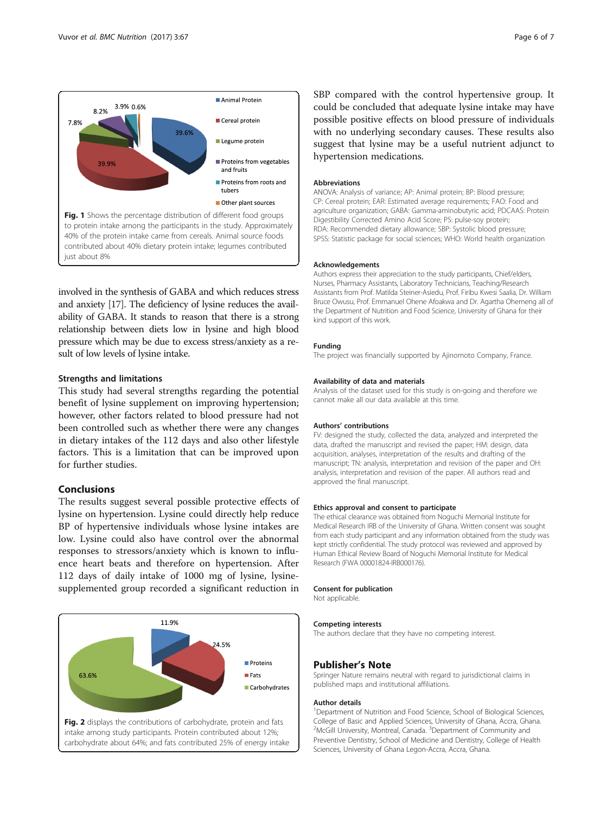<span id="page-5-0"></span>

involved in the synthesis of GABA and which reduces stress and anxiety [\[17](#page-6-0)]. The deficiency of lysine reduces the availability of GABA. It stands to reason that there is a strong relationship between diets low in lysine and high blood pressure which may be due to excess stress/anxiety as a result of low levels of lysine intake.

#### Strengths and limitations

This study had several strengths regarding the potential benefit of lysine supplement on improving hypertension; however, other factors related to blood pressure had not been controlled such as whether there were any changes in dietary intakes of the 112 days and also other lifestyle factors. This is a limitation that can be improved upon for further studies.

## Conclusions

The results suggest several possible protective effects of lysine on hypertension. Lysine could directly help reduce BP of hypertensive individuals whose lysine intakes are low. Lysine could also have control over the abnormal responses to stressors/anxiety which is known to influence heart beats and therefore on hypertension. After 112 days of daily intake of 1000 mg of lysine, lysinesupplemented group recorded a significant reduction in



SBP compared with the control hypertensive group. It could be concluded that adequate lysine intake may have possible positive effects on blood pressure of individuals with no underlying secondary causes. These results also suggest that lysine may be a useful nutrient adjunct to hypertension medications.

#### Abbreviations

ANOVA: Analysis of variance; AP: Animal protein; BP: Blood pressure; CP: Cereal protein; EAR: Estimated average requirements; FAO: Food and agriculture organization; GABA: Gamma-aminobutyric acid; PDCAAS: Protein Digestibility Corrected Amino Acid Score; PS: pulse-soy protein; RDA: Recommended dietary allowance; SBP: Systolic blood pressure; SPSS: Statistic package for social sciences; WHO: World health organization

#### Acknowledgements

Authors express their appreciation to the study participants, Chief/elders, Nurses, Pharmacy Assistants, Laboratory Technicians, Teaching/Research Assistants from Prof. Matilda Steiner-Asiedu, Prof. Firibu Kwesi Saalia, Dr. William Bruce Owusu, Prof. Emmanuel Ohene Afoakwa and Dr. Agartha Ohemeng all of the Department of Nutrition and Food Science, University of Ghana for their kind support of this work.

#### Funding

The project was financially supported by Ajinomoto Company, France.

#### Availability of data and materials

Analysis of the dataset used for this study is on-going and therefore we cannot make all our data available at this time.

#### Authors' contributions

FV: designed the study, collected the data, analyzed and interpreted the data, drafted the manuscript and revised the paper; HM: design, data acquisition, analyses, interpretation of the results and drafting of the manuscript; TN: analysis, interpretation and revision of the paper and OH: analysis, interpretation and revision of the paper. All authors read and approved the final manuscript.

#### Ethics approval and consent to participate

The ethical clearance was obtained from Noguchi Memorial Institute for Medical Research IRB of the University of Ghana. Written consent was sought from each study participant and any information obtained from the study was kept strictly confidential. The study protocol was reviewed and approved by Human Ethical Review Board of Noguchi Memorial Institute for Medical Research (FWA 00001824-IRB000176).

## Consent for publication

Not applicable.

#### Competing interests

The authors declare that they have no competing interest.

#### Publisher's Note

Springer Nature remains neutral with regard to jurisdictional claims in published maps and institutional affiliations.

#### Author details

<sup>1</sup>Department of Nutrition and Food Science, School of Biological Sciences, College of Basic and Applied Sciences, University of Ghana, Accra, Ghana. <sup>2</sup>McGill University, Montreal, Canada. <sup>3</sup>Department of Community and Preventive Dentistry, School of Medicine and Dentistry, College of Health Sciences, University of Ghana Legon-Accra, Accra, Ghana.